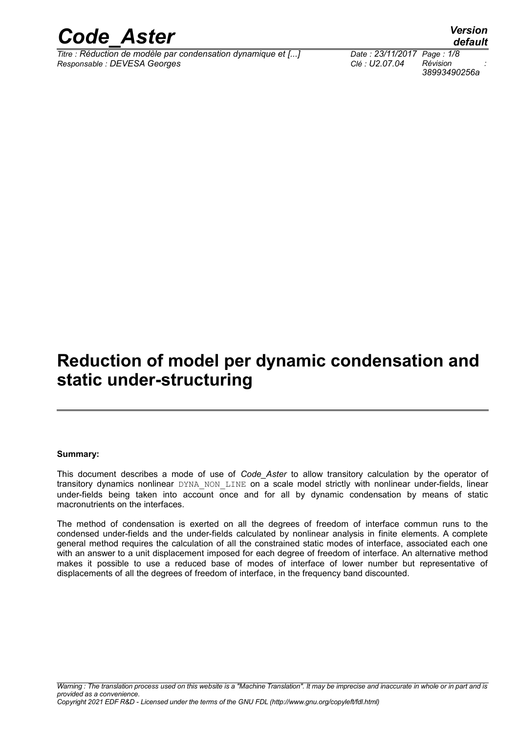

*Titre : Réduction de modèle par condensation dynamique et [...] Date : 23/11/2017 Page : 1/8 Responsable : DEVESA Georges Clé : U2.07.04 Révision :*

*default*

## **Reduction of model per dynamic condensation and static under-structuring**

#### **Summary:**

This document describes a mode of use of *Code\_Aster* to allow transitory calculation by the operator of transitory dynamics nonlinear DYNA\_NON\_LINE on a scale model strictly with nonlinear under-fields, linear under-fields being taken into account once and for all by dynamic condensation by means of static macronutrients on the interfaces.

The method of condensation is exerted on all the degrees of freedom of interface commun runs to the condensed under-fields and the under-fields calculated by nonlinear analysis in finite elements. A complete general method requires the calculation of all the constrained static modes of interface, associated each one with an answer to a unit displacement imposed for each degree of freedom of interface. An alternative method makes it possible to use a reduced base of modes of interface of lower number but representative of displacements of all the degrees of freedom of interface, in the frequency band discounted.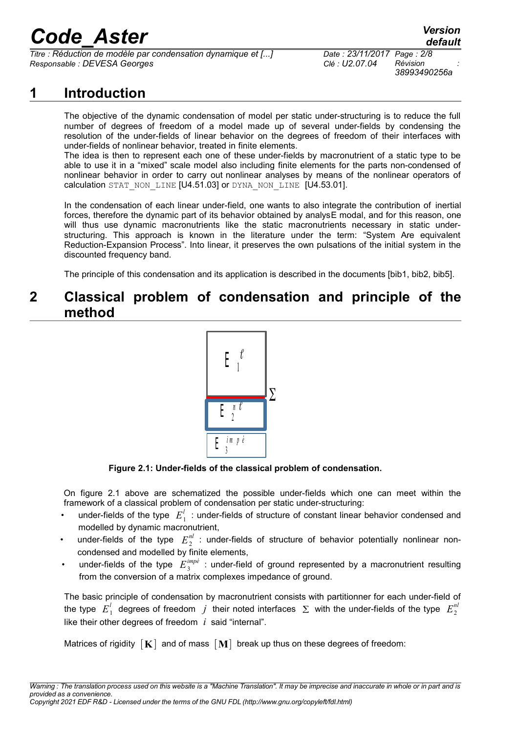*Titre : Réduction de modèle par condensation dynamique et [...] Date : 23/11/2017 Page : 2/8 Responsable : DEVESA Georges Clé : U2.07.04 Révision :*

*38993490256a*

## **1 Introduction**

The objective of the dynamic condensation of model per static under-structuring is to reduce the full number of degrees of freedom of a model made up of several under-fields by condensing the resolution of the under-fields of linear behavior on the degrees of freedom of their interfaces with under-fields of nonlinear behavior, treated in finite elements.

The idea is then to represent each one of these under-fields by macronutrient of a static type to be able to use it in a "mixed" scale model also including finite elements for the parts non-condensed of nonlinear behavior in order to carry out nonlinear analyses by means of the nonlinear operators of calculation STAT\_NON\_LINE [U4.51.03] or DYNA\_NON\_LINE [U4.53.01].

In the condensation of each linear under-field, one wants to also integrate the contribution of inertial forces, therefore the dynamic part of its behavior obtained by analysE modal, and for this reason, one will thus use dynamic macronutrients like the static macronutrients necessary in static understructuring. This approach is known in the literature under the term: "System Are equivalent Reduction-Expansion Process". Into linear, it preserves the own pulsations of the initial system in the discounted frequency band.

The principle of this condensation and its application is described in the documents [bib1, bib2, bib5].

#### **2 Classical problem of condensation and principle of the method**



**Figure 2.1: Under-fields of the classical problem of condensation.**

On figure 2.1 above are schematized the possible under-fields which one can meet within the framework of a classical problem of condensation per static under-structuring:

- ander-fields of the type  $|E_1^l|$ : under-fields of structure of constant linear behavior condensed and modelled by dynamic macronutrient,
- under-fields of the type  $E_2^{nl}$  : under-fields of structure of behavior potentially nonlinear noncondensed and modelled by finite elements,
- under-fields of the type  $E_{3}^{imp\acute{e}}$  : under-field of ground represented by a macronutrient resulting from the conversion of a matrix complexes impedance of ground.

The basic principle of condensation by macronutrient consists with partitionner for each under-field of the type  $|E_1^l|$  degrees of freedom  $|j|$  their noted interfaces  $|\Sigma|$  with the under-fields of the type  $|E_2^n|$ like their other degrees of freedom *i* said "internal".

Matrices of rigidity  $[K]$  and of mass  $[M]$  break up thus on these degrees of freedom: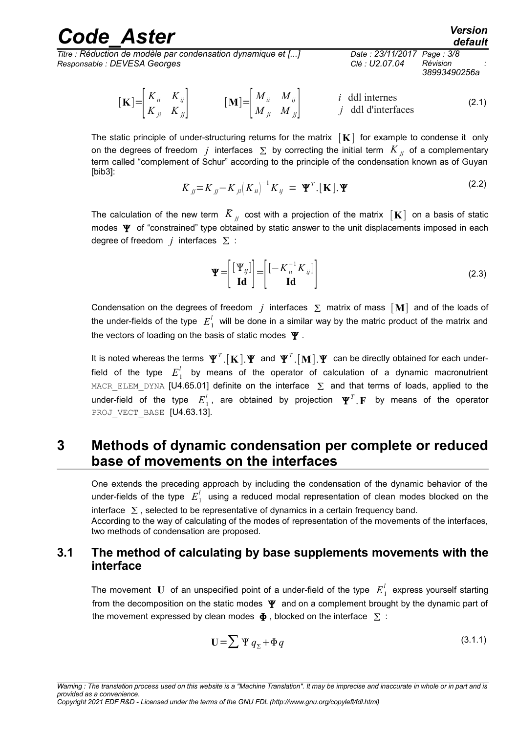| <b>Code Aster</b>                                            |                            | <b>Version</b><br>default |  |
|--------------------------------------------------------------|----------------------------|---------------------------|--|
| Titre : Réduction de modèle par condensation dynamique et [] | Date: 23/11/2017 Page: 3/8 | Révision                  |  |
| Responsable : DEVESA Georges                                 | Clé : U2.07.04             | 38993490256a              |  |

$$
\begin{bmatrix} \mathbf{K} \end{bmatrix} = \begin{bmatrix} K_{ii} & K_{ij} \\ K_{ji} & K_{jj} \end{bmatrix} \qquad \qquad [\mathbf{M}] = \begin{bmatrix} M_{ii} & M_{ij} \\ M_{ji} & M_{jj} \end{bmatrix} \qquad \qquad i \text{ ddl internes} \qquad j \text{ ddl differentaces} \qquad (2.1)
$$

The static principle of under-structuring returns for the matrix  $\begin{bmatrix} \mathbf{K} \end{bmatrix}$  for example to condense it only on the degrees of freedom *j* interfaces  $\sum$  by correcting the initial term  $K_{ij}$  of a complementary term called "complement of Schur" according to the principle of the condensation known as of Guyan [bib3]:

$$
\overline{K}_{jj} = K_{jj} - K_{ji} \left( K_{ii} \right)^{-1} K_{ij} = \mathbf{\Psi}^T . [\mathbf{K}]. \mathbf{\Psi}
$$
\n(2.2)

The calculation of the new term  $\overline{K}_{ji}$  cost with a projection of the matrix  $\mathbf{K}$  on a basis of static modes  $\Psi$  of "constrained" type obtained by static answer to the unit displacements imposed in each degree of freedom  $j$  interfaces  $\Sigma$  :

$$
\mathbf{\Psi} = \begin{bmatrix} [\mathbf{\Psi}_{ij}] \\ \mathbf{Id} \end{bmatrix} = \begin{bmatrix} [-K_{ii}^{-1}K_{ij}] \\ \mathbf{Id} \end{bmatrix}
$$
(2.3)

Condensation on the degrees of freedom  $j$  interfaces  $\Sigma$  matrix of mass  $[M]$  and of the loads of the under-fields of the type  $|E^{l}_{1}|$  will be done in a similar way by the matric product of the matrix and the vectors of loading on the basis of static modes  $\Psi$ .

It is noted whereas the terms  $\Psi^{\tau}$   $[$  **K**  $]$  . $\Psi$  and  $\Psi^{\tau}$  . $[$  **M**  $]$  . $\Psi$  can be directly obtained for each underfield of the type  $\overline{E}_{1}^{l}$  by means of the operator of calculation of a dynamic macronutrient MACR\_ELEM\_DYNA [U4.65.01] definite on the interface  $\Sigma$  and that terms of loads, applied to the under-field of the type  $E_1^l$ , are obtained by projection  $\mathbf{\Psi}^T$  **F** by means of the operator PROJ VECT BASE [U4.63.13].

#### **3 Methods of dynamic condensation per complete or reduced base of movements on the interfaces**

One extends the preceding approach by including the condensation of the dynamic behavior of the under-fields of the type  $|E^{l}_1|$  using a reduced modal representation of clean modes blocked on the interface  $\Sigma$ , selected to be representative of dynamics in a certain frequency band. According to the way of calculating of the modes of representation of the movements of the interfaces, two methods of condensation are proposed.

#### **3.1 The method of calculating by base supplements movements with the interface**

The movement  $\bf{U}$  of an unspecified point of a under-field of the type  $\overline{E}_{1}^{l}$  express yourself starting from the decomposition on the static modes  $\Psi$  and on a complement brought by the dynamic part of the movement expressed by clean modes  $\Phi$ , blocked on the interface  $\Sigma$ :

$$
\mathbf{U} = \sum \Psi q_{\Sigma} + \Phi q \tag{3.1.1}
$$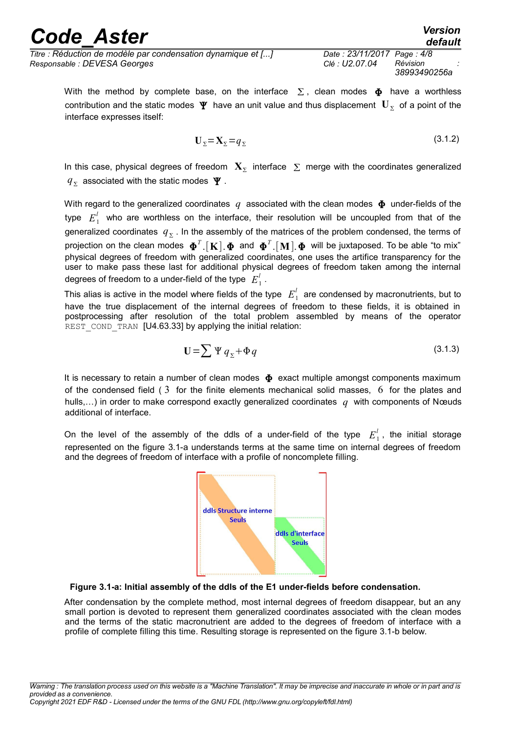*default*

*Titre : Réduction de modèle par condensation dynamique et [...] Date : 23/11/2017 Page : 4/8 Responsable : DEVESA Georges Clé : U2.07.04 Révision :*

With the method by complete base, on the interface  $\Sigma$ , clean modes  $\Phi$  have a worthless contribution and the static modes  $\mathbf{\Psi}$  have an unit value and thus displacement  $\mathbf{U}_\Sigma$  of a point of the interface expresses itself:

$$
\mathbf{U}_{\Sigma} = \mathbf{X}_{\Sigma} = q_{\Sigma} \tag{3.1.2}
$$

In this case, physical degrees of freedom  $\mathbf{X}_{\Sigma}$  interface  $|\Sigma|$  merge with the coordinates generalized  $q_{\Sigma}^{\parallel}$  associated with the static modes  $\vert \Psi \vert$  .

With regard to the generalized coordinates  $q$  associated with the clean modes  $\Phi$  under-fields of the type  $E_1^l$  who are worthless on the interface, their resolution will be uncoupled from that of the generalized coordinates  $|q_{\Sigma}|$ . In the assembly of the matrices of the problem condensed, the terms of projection on the clean modes  $\bm{\Phi}^T$ .[ $\bf{K}]$ . $\bm{\Phi}$  and  $\bm{\Phi}^T$ .[ $\bf{M}$ ]. $\bm{\Phi}$  will be juxtaposed. To be able "to mix" physical degrees of freedom with generalized coordinates, one uses the artifice transparency for the user to make pass these last for additional physical degrees of freedom taken among the internal degrees of freedom to a under-field of the type  $|E^{l}_{\perp}|$  .

This alias is active in the model where fields of the type  $\,E_1^l\,$  are condensed by macronutrients, but to have the true displacement of the internal degrees of freedom to these fields, it is obtained in postprocessing after resolution of the total problem assembled by means of the operator REST\_COND\_TRAN [U4.63.33] by applying the initial relation:

$$
\mathbf{U} = \sum \Psi \, q_{\Sigma} + \Phi \, q \tag{3.1.3}
$$

It is necessary to retain a number of clean modes  $\Phi$  exact multiple amongst components maximum of the condensed field  $(3 \text{ for the finite elements mechanical solid masses}, 6 \text{ for the plates and})$ hulls,…) in order to make correspond exactly generalized coordinates *q* with components of Nœuds additional of interface.

On the level of the assembly of the ddls of a under-field of the type  $E_1^l$ , the initial storage represented on the figure 3.1-a understands terms at the same time on internal degrees of freedom and the degrees of freedom of interface with a profile of noncomplete filling.



**Figure 3.1-a: Initial assembly of the ddls of the E1 under-fields before condensation.**

After condensation by the complete method, most internal degrees of freedom disappear, but an any small portion is devoted to represent them generalized coordinates associated with the clean modes and the terms of the static macronutrient are added to the degrees of freedom of interface with a profile of complete filling this time. Resulting storage is represented on the figure 3.1-b below.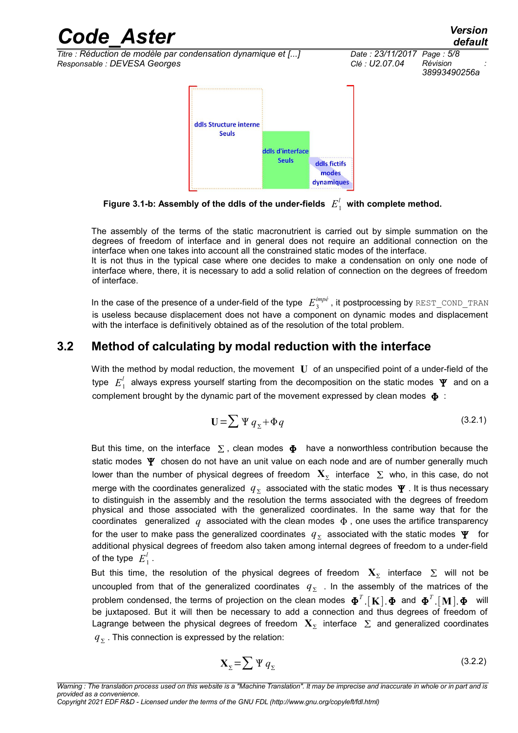

Figure 3.1-b: Assembly of the ddls of the under-fields  $|E^{l}_{\perp}|$  with complete method.

The assembly of the terms of the static macronutrient is carried out by simple summation on the degrees of freedom of interface and in general does not require an additional connection on the interface when one takes into account all the constrained static modes of the interface. It is not thus in the typical case where one decides to make a condensation on only one node of interface where, there, it is necessary to add a solid relation of connection on the degrees of freedom

of interface.

In the case of the presence of a under-field of the type  $\ E_{3}^{imp\acute{e}}$  , it postprocessing by  $\texttt{REST\_COND\_TRAN}$ is useless because displacement does not have a component on dynamic modes and displacement with the interface is definitively obtained as of the resolution of the total problem.

#### **3.2 Method of calculating by modal reduction with the interface**

With the method by modal reduction, the movement **U** of an unspecified point of a under-field of the type  $\,E_{\,1}^{'}\,$  always express yourself starting from the decomposition on the static modes  $\,\mathbf{\Psi}\,$  and on a complement brought by the dynamic part of the movement expressed by clean modes  $\Phi$ :

$$
\mathbf{U} = \sum \Psi q_{\Sigma} + \Phi q \tag{3.2.1}
$$

But this time, on the interface  $\Sigma$ , clean modes  $\Phi$  have a nonworthless contribution because the static modes  $\Psi$  chosen do not have an unit value on each node and are of number generally much lower than the number of physical degrees of freedom  $\mathbf{X}_{\Sigma}$  interface  $|\Sigma|$  who, in this case, do not merge with the coordinates generalized  $|q_{\Sigma}|$  associated with the static modes  $|\Psi|$  . It is thus necessary to distinguish in the assembly and the resolution the terms associated with the degrees of freedom physical and those associated with the generalized coordinates. In the same way that for the coordinates generalized  $q$  associated with the clean modes  $\Phi$ , one uses the artifice transparency for the user to make pass the generalized coordinates  $|q_{\Sigma}|$  associated with the static modes  $|\Psi|$  for additional physical degrees of freedom also taken among internal degrees of freedom to a under-field of the type  $E_1^l$  .

But this time, the resolution of the physical degrees of freedom  $\mathbf{X}_{\Sigma}$  interface  $\Sigma$  will not be uncoupled from that of the generalized coordinates  $|q_{\Sigma}|$  . In the assembly of the matrices of the problem condensed, the terms of projection on the clean modes  $\bm{\Phi}^T$ .  $[$  **K**  $]$   $\bm{\Phi}$  and  $\bm{\Phi}^T$  .  $[$  **M**  $]$   $\bm{\Phi}$  will be juxtaposed. But it will then be necessary to add a connection and thus degrees of freedom of Lagrange between the physical degrees of freedom  $\mathbf{X}_{\Sigma}$  interface  $|\Sigma|$  and generalized coordinates  $\overline{q}_\Sigma$  . This connection is expressed by the relation:

$$
\mathbf{X}_{\Sigma} = \sum \Psi \, q_{\Sigma} \tag{3.2.2}
$$

*Copyright 2021 EDF R&D - Licensed under the terms of the GNU FDL (http://www.gnu.org/copyleft/fdl.html)*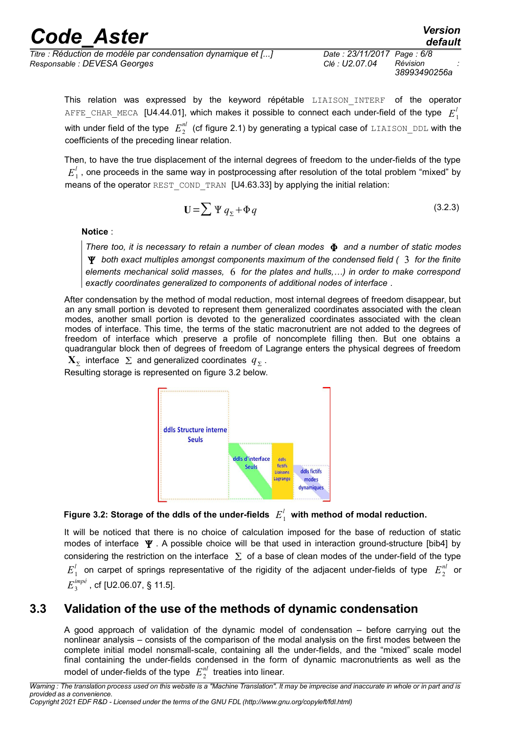*Titre : Réduction de modèle par condensation dynamique et [...] Date : 23/11/2017 Page : 6/8 Responsable : DEVESA Georges Clé : U2.07.04 Révision :*

*38993490256a*

This relation was expressed by the keyword répétable LIAISON INTERF of the operator <code>AFFE\_CHAR\_MECA [U4.44.01], which makes it possible to connect each under-field of the type  $\ E_1^l$ </code> with under field of the type  $\;E_2^{nl}\;$  (cf figure 2.1) by generating a typical case of <code>LIAISON\_DDL</code> with the coefficients of the preceding linear relation.

Then, to have the true displacement of the internal degrees of freedom to the under-fields of the type  $E_{\perp}^{l}$  , one proceeds in the same way in postprocessing after resolution of the total problem "mixed" by means of the operator REST\_COND\_TRAN [U4.63.33] by applying the initial relation:

$$
\mathbf{U} = \sum \Psi q_{\Sigma} + \Phi q \tag{3.2.3}
$$

**Notice** :

*There too, it is necessary to retain a number of clean modes and a number of static modes both exact multiples amongst components maximum of the condensed field (* 3 *for the finite elements mechanical solid masses,* 6 *for the plates and hulls,…) in order to make correspond exactly coordinates generalized to components of additional nodes of interface .*

After condensation by the method of modal reduction, most internal degrees of freedom disappear, but an any small portion is devoted to represent them generalized coordinates associated with the clean modes, another small portion is devoted to the generalized coordinates associated with the clean modes of interface. This time, the terms of the static macronutrient are not added to the degrees of freedom of interface which preserve a profile of noncomplete filling then. But one obtains a quadrangular block then of degrees of freedom of Lagrange enters the physical degrees of freedom

 $\mathbf{X}_{\Sigma}$  interface  $|\Sigma|$  and generalized coordinates  $|q_{\Sigma}|$ . Resulting storage is represented on figure 3.2 below.



Figure 3.2: Storage of the ddls of the under-fields  $|E^{l}_{1}|$  with method of modal reduction.

It will be noticed that there is no choice of calculation imposed for the base of reduction of static modes of interface  $\Psi$ . A possible choice will be that used in interaction ground-structure [bib4] by considering the restriction on the interface  $\Sigma$  of a base of clean modes of the under-field of the type  $E_1^l$  on carpet of springs representative of the rigidity of the adjacent under-fields of type  $|E_2^{nl}|$  or  $E_{3}^{imp\acute{e}}$  , cf [U2.06.07, § 11.5].

#### **3.3 Validation of the use of the methods of dynamic condensation**

A good approach of validation of the dynamic model of condensation – before carrying out the nonlinear analysis – consists of the comparison of the modal analysis on the first modes between the complete initial model nonsmall-scale, containing all the under-fields, and the "mixed" scale model final containing the under-fields condensed in the form of dynamic macronutrients as well as the model of under-fields of the type  $|E_{2}^{nl}|$  treaties into linear.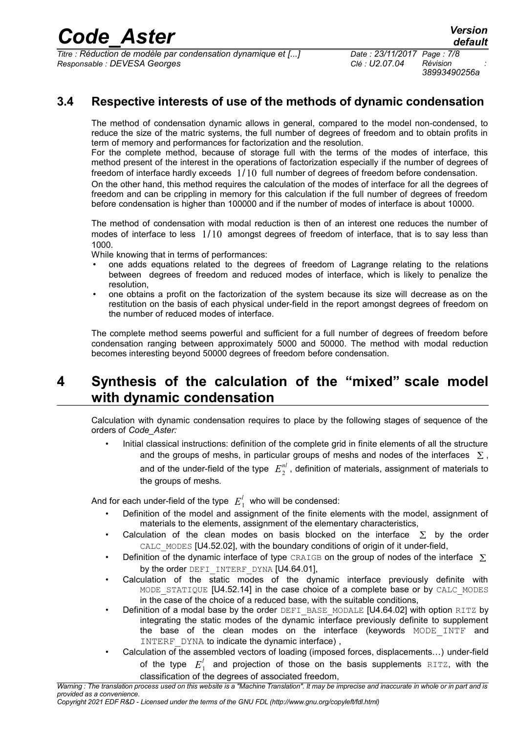*Titre : Réduction de modèle par condensation dynamique et [...] Date : 23/11/2017 Page : 7/8 Responsable : DEVESA Georges Clé : U2.07.04 Révision :*

*38993490256a*

#### **3.4 Respective interests of use of the methods of dynamic condensation**

The method of condensation dynamic allows in general, compared to the model non-condensed, to reduce the size of the matric systems, the full number of degrees of freedom and to obtain profits in term of memory and performances for factorization and the resolution.

For the complete method, because of storage full with the terms of the modes of interface, this method present of the interest in the operations of factorization especially if the number of degrees of freedom of interface hardly exceeds 1/10 full number of degrees of freedom before condensation.

On the other hand, this method requires the calculation of the modes of interface for all the degrees of freedom and can be crippling in memory for this calculation if the full number of degrees of freedom before condensation is higher than 100000 and if the number of modes of interface is about 10000.

The method of condensation with modal reduction is then of an interest one reduces the number of modes of interface to less  $1/10$  amongst degrees of freedom of interface, that is to say less than 1000.

While knowing that in terms of performances:

- one adds equations related to the degrees of freedom of Lagrange relating to the relations between degrees of freedom and reduced modes of interface, which is likely to penalize the resolution,
- one obtains a profit on the factorization of the system because its size will decrease as on the restitution on the basis of each physical under-field in the report amongst degrees of freedom on the number of reduced modes of interface.

The complete method seems powerful and sufficient for a full number of degrees of freedom before condensation ranging between approximately 5000 and 50000. The method with modal reduction becomes interesting beyond 50000 degrees of freedom before condensation.

### **4 Synthesis of the calculation of the "mixed" scale model with dynamic condensation**

Calculation with dynamic condensation requires to place by the following stages of sequence of the orders of *Code\_Aster:*

• Initial classical instructions: definition of the complete grid in finite elements of all the structure and the groups of meshs, in particular groups of meshs and nodes of the interfaces  $\Sigma$ , and of the under-field of the type  $|E_{2}^{nl}|$ , definition of materials, assignment of materials to the groups of meshs.

And for each under-field of the type  $|E^{l}_{\perp}|$  who will be condensed:

- Definition of the model and assignment of the finite elements with the model, assignment of materials to the elements, assignment of the elementary characteristics,
- Calculation of the clean modes on basis blocked on the interface  $\sum$  by the order CALC\_MODES [U4.52.02], with the boundary conditions of origin of it under-field,
- Definition of the dynamic interface of type CRAIGB on the group of nodes of the interface  $\Sigma$ by the order DEFI\_INTERF\_DYNA [U4.64.01].
- Calculation of the static modes of the dynamic interface previously definite with MODE STATIQUE [U4.52.14] in the case choice of a complete base or by CALC\_MODES in the case of the choice of a reduced base, with the suitable conditions,
- Definition of a modal base by the order DEFI\_BASE\_MODALE [U4.64.02] with option RITZ by integrating the static modes of the dynamic interface previously definite to supplement the base of the clean modes on the interface (keywords MODE INTF and INTERF DYNA to indicate the dynamic interface),
- Calculation of the assembled vectors of loading (imposed forces, displacements…) under-field of the type  $E_1^l$  and projection of those on the basis supplements  $\texttt{RITZ}$ , with the classification of the degrees of associated freedom,

*Copyright 2021 EDF R&D - Licensed under the terms of the GNU FDL (http://www.gnu.org/copyleft/fdl.html)*